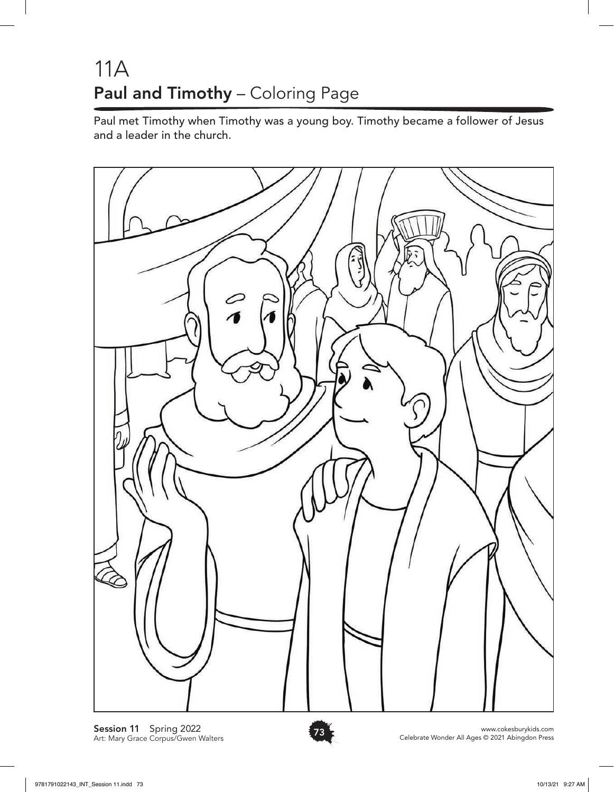## 11A Paul and Timothy - Coloring Page

Paul met Timothy when Timothy was a young boy. Timothy became a follower of Jesus and a leader in the church.



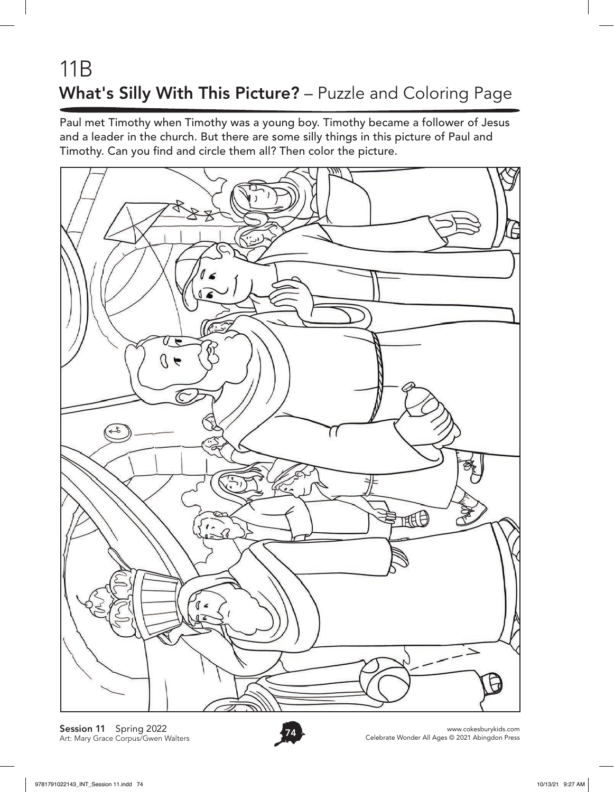## 11B What's Silly With This Picture? – Puzzle and Coloring Page

Paul met Timothy when Timothy was a young boy. Timothy became a follower of Jesus and a leader in the church. But there are some silly things in this picture of Paul and Timothy. Can you find and circle them all? Then color the picture.



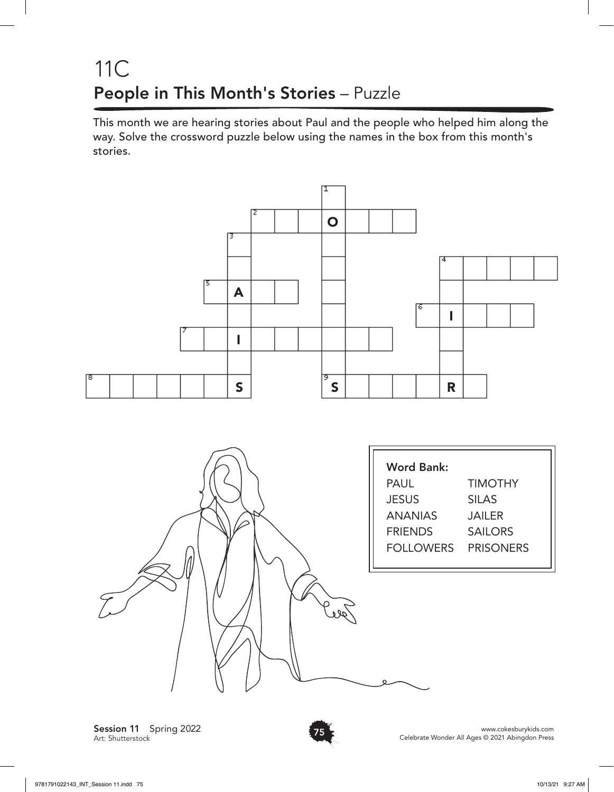#### 11C People in This Month's Stories – Puzzle

This month we are hearing stories about Paul and the people who helped him along the way. Solve the crossword puzzle below using the names in the box from this month's stories.



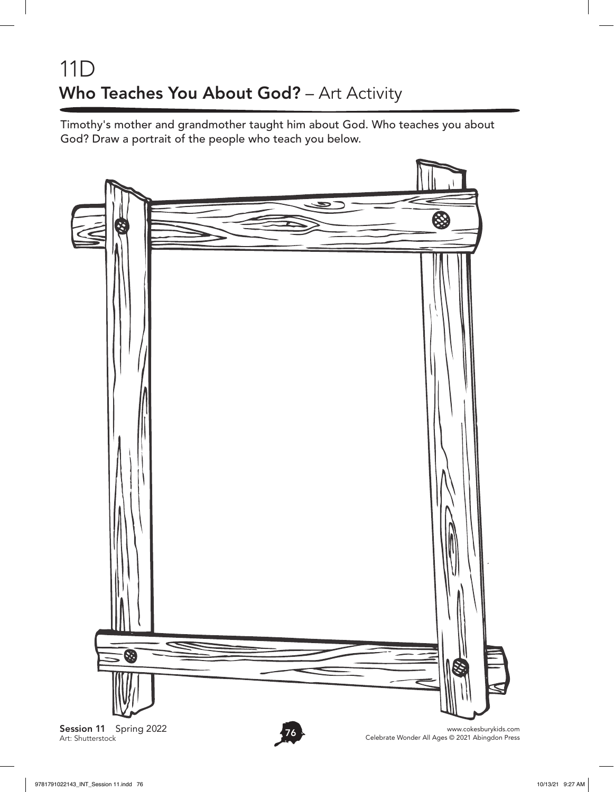## 11D Who Teaches You About God? - Art Activity

Timothy's mother and grandmother taught him about God. Who teaches you about God? Draw a portrait of the people who teach you below.



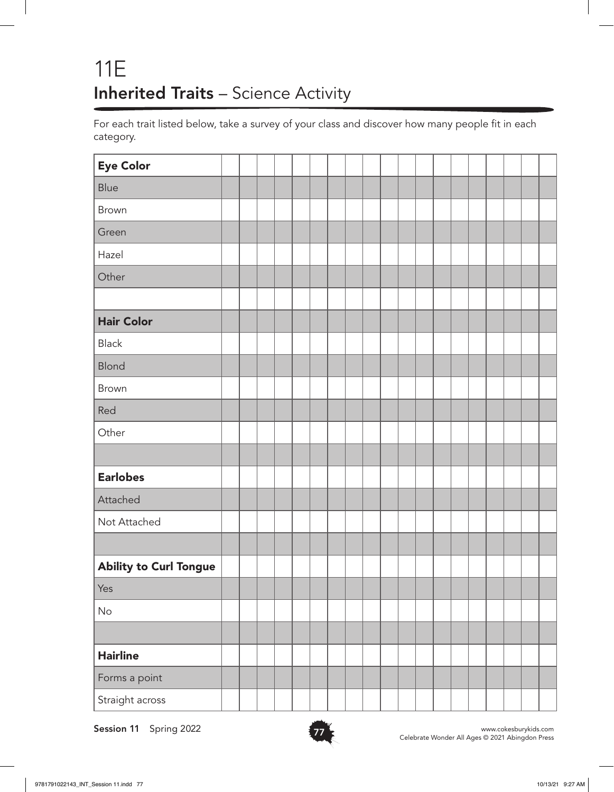## 11E Inherited Traits - Science Activity

For each trait listed below, take a survey of your class and discover how many people fit in each category.

| <b>Eye Color</b>              |  |  |  |  |  |  |  |  |  |  |
|-------------------------------|--|--|--|--|--|--|--|--|--|--|
| Blue                          |  |  |  |  |  |  |  |  |  |  |
| <b>Brown</b>                  |  |  |  |  |  |  |  |  |  |  |
| Green                         |  |  |  |  |  |  |  |  |  |  |
| Hazel                         |  |  |  |  |  |  |  |  |  |  |
| Other                         |  |  |  |  |  |  |  |  |  |  |
|                               |  |  |  |  |  |  |  |  |  |  |
| <b>Hair Color</b>             |  |  |  |  |  |  |  |  |  |  |
| Black                         |  |  |  |  |  |  |  |  |  |  |
| <b>Blond</b>                  |  |  |  |  |  |  |  |  |  |  |
| <b>Brown</b>                  |  |  |  |  |  |  |  |  |  |  |
| Red                           |  |  |  |  |  |  |  |  |  |  |
| Other                         |  |  |  |  |  |  |  |  |  |  |
|                               |  |  |  |  |  |  |  |  |  |  |
| <b>Earlobes</b>               |  |  |  |  |  |  |  |  |  |  |
| Attached                      |  |  |  |  |  |  |  |  |  |  |
| Not Attached                  |  |  |  |  |  |  |  |  |  |  |
|                               |  |  |  |  |  |  |  |  |  |  |
| <b>Ability to Curl Tongue</b> |  |  |  |  |  |  |  |  |  |  |
| Yes                           |  |  |  |  |  |  |  |  |  |  |
| $\mathsf{No}$                 |  |  |  |  |  |  |  |  |  |  |
|                               |  |  |  |  |  |  |  |  |  |  |
| <b>Hairline</b>               |  |  |  |  |  |  |  |  |  |  |
| Forms a point                 |  |  |  |  |  |  |  |  |  |  |
| Straight across               |  |  |  |  |  |  |  |  |  |  |

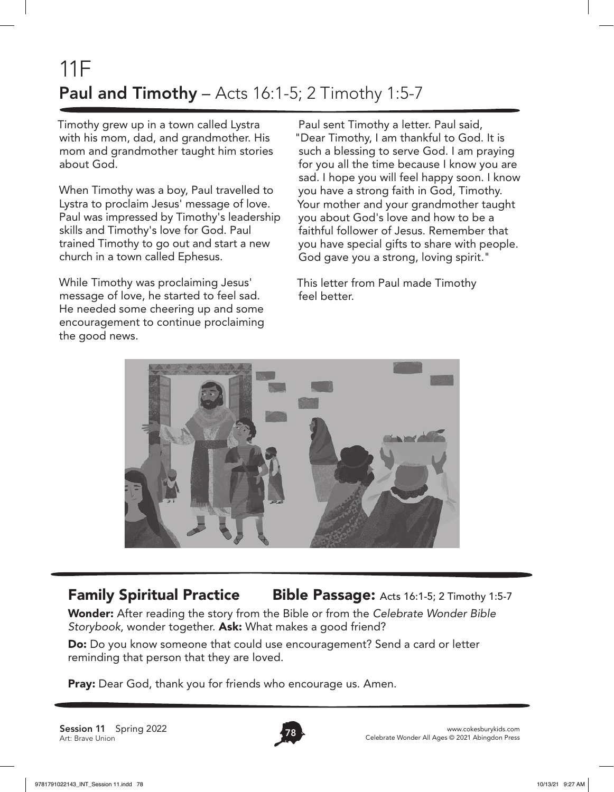# 11F **Paul and Timothy** – Acts 16:1-5; 2 Timothy 1:5-7

Timothy grew up in a town called Lystra with his mom, dad, and grandmother. His mom and grandmother taught him stories about God.

When Timothy was a boy, Paul travelled to Lystra to proclaim Jesus' message of love. Paul was impressed by Timothy's leadership skills and Timothy's love for God. Paul trained Timothy to go out and start a new church in a town called Ephesus.

While Timothy was proclaiming Jesus' message of love, he started to feel sad. He needed some cheering up and some encouragement to continue proclaiming the good news.

Paul sent Timothy a letter. Paul said, "Dear Timothy, I am thankful to God. It is such a blessing to serve God. I am praying for you all the time because I know you are sad. I hope you will feel happy soon. I know you have a strong faith in God, Timothy. Your mother and your grandmother taught you about God's love and how to be a faithful follower of Jesus. Remember that you have special gifts to share with people. God gave you a strong, loving spirit."

This letter from Paul made Timothy feel better.



#### **Family Spiritual Practice Bible Passage:** Acts 16:1-5; 2 Timothy 1:5-7

Wonder: After reading the story from the Bible or from the *Celebrate Wonder Bible Storybook*, wonder together. Ask: What makes a good friend?

Do: Do you know someone that could use encouragement? Send a card or letter reminding that person that they are loved.

**Pray:** Dear God, thank you for friends who encourage us. Amen.